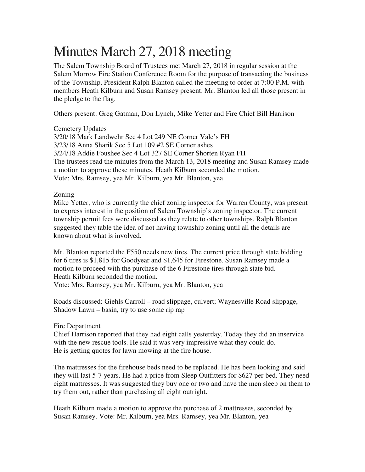# Minutes March 27, 2018 meeting

The Salem Township Board of Trustees met March 27, 2018 in regular session at the Salem Morrow Fire Station Conference Room for the purpose of transacting the business of the Township. President Ralph Blanton called the meeting to order at 7:00 P.M. with members Heath Kilburn and Susan Ramsey present. Mr. Blanton led all those present in the pledge to the flag.

Others present: Greg Gatman, Don Lynch, Mike Yetter and Fire Chief Bill Harrison

## Cemetery Updates

3/20/18 Mark Landwehr Sec 4 Lot 249 NE Corner Vale's FH 3/23/18 Anna Sharik Sec 5 Lot 109 #2 SE Corner ashes 3/24/18 Addie Foushee Sec 4 Lot 327 SE Corner Shorten Ryan FH The trustees read the minutes from the March 13, 2018 meeting and Susan Ramsey made a motion to approve these minutes. Heath Kilburn seconded the motion. Vote: Mrs. Ramsey, yea Mr. Kilburn, yea Mr. Blanton, yea

## Zoning

Mike Yetter, who is currently the chief zoning inspector for Warren County, was present to express interest in the position of Salem Township's zoning inspector. The current township permit fees were discussed as they relate to other townships. Ralph Blanton suggested they table the idea of not having township zoning until all the details are known about what is involved.

Mr. Blanton reported the F550 needs new tires. The current price through state bidding for 6 tires is \$1,815 for Goodyear and \$1,645 for Firestone. Susan Ramsey made a motion to proceed with the purchase of the 6 Firestone tires through state bid. Heath Kilburn seconded the motion. Vote: Mrs. Ramsey, yea Mr. Kilburn, yea Mr. Blanton, yea

Roads discussed: Giehls Carroll – road slippage, culvert; Waynesville Road slippage, Shadow Lawn – basin, try to use some rip rap

## Fire Department

Chief Harrison reported that they had eight calls yesterday. Today they did an inservice with the new rescue tools. He said it was very impressive what they could do. He is getting quotes for lawn mowing at the fire house.

The mattresses for the firehouse beds need to be replaced. He has been looking and said they will last 5-7 years. He had a price from Sleep Outfitters for \$627 per bed. They need eight mattresses. It was suggested they buy one or two and have the men sleep on them to try them out, rather than purchasing all eight outright.

Heath Kilburn made a motion to approve the purchase of 2 mattresses, seconded by Susan Ramsey. Vote: Mr. Kilburn, yea Mrs. Ramsey, yea Mr. Blanton, yea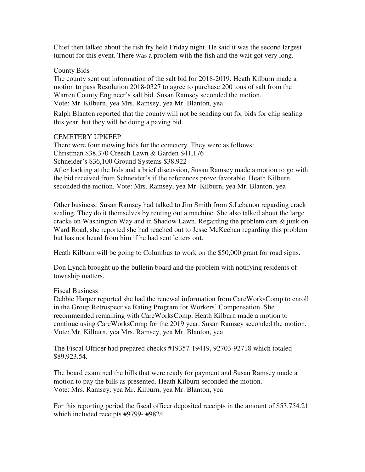Chief then talked about the fish fry held Friday night. He said it was the second largest turnout for this event. There was a problem with the fish and the wait got very long.

### County Bids

The county sent out information of the salt bid for 2018-2019. Heath Kilburn made a motion to pass Resolution 2018-0327 to agree to purchase 200 tons of salt from the Warren County Engineer's salt bid. Susan Ramsey seconded the motion. Vote: Mr. Kilburn, yea Mrs. Ramsey, yea Mr. Blanton, yea

Ralph Blanton reported that the county will not be sending out for bids for chip sealing this year, but they will be doing a paving bid.

#### CEMETERY UPKEEP

There were four mowing bids for the cemetery. They were as follows: Christman \$38,370 Creech Lawn & Garden \$41,176 Schneider's \$36,100 Ground Systems \$38,922 After looking at the bids and a brief discussion, Susan Ramsey made a motion to go with the bid received from Schneider's if the references prove favorable. Heath Kilburn seconded the motion. Vote: Mrs. Ramsey, yea Mr. Kilburn, yea Mr. Blanton, yea

Other business: Susan Ramsey had talked to Jim Smith from S.Lebanon regarding crack sealing. They do it themselves by renting out a machine. She also talked about the large cracks on Washington Way and in Shadow Lawn. Regarding the problem cars & junk on Ward Road, she reported she had reached out to Jesse McKeehan regarding this problem but has not heard from him if he had sent letters out.

Heath Kilburn will be going to Columbus to work on the \$50,000 grant for road signs.

Don Lynch brought up the bulletin board and the problem with notifying residents of township matters.

#### Fiscal Business

Debbie Harper reported she had the renewal information from CareWorksComp to enroll in the Group Retrospective Rating Program for Workers' Compensation. She recommended remaining with CareWorksComp. Heath Kilburn made a motion to continue using CareWorksComp for the 2019 year. Susan Ramsey seconded the motion. Vote: Mr. Kilburn, yea Mrs. Ramsey, yea Mr. Blanton, yea

The Fiscal Officer had prepared checks #19357-19419, 92703-92718 which totaled \$89,923.54.

The board examined the bills that were ready for payment and Susan Ramsey made a motion to pay the bills as presented. Heath Kilburn seconded the motion. Vote: Mrs. Ramsey, yea Mr. Kilburn, yea Mr. Blanton, yea

For this reporting period the fiscal officer deposited receipts in the amount of \$53,754.21 which included receipts #9799- #9824.